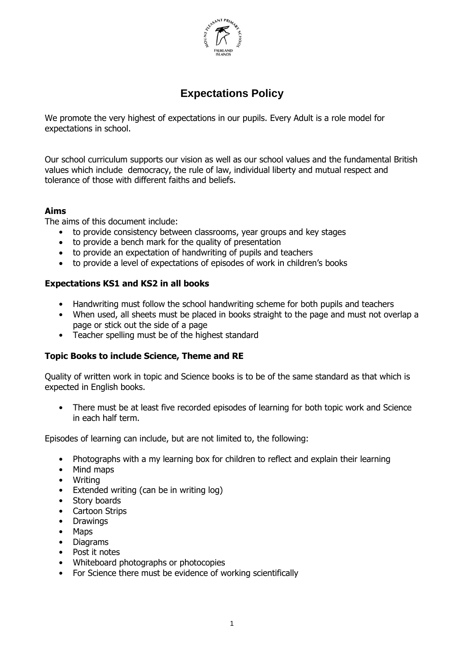

# **Expectations Policy**

We promote the very highest of expectations in our pupils. Every Adult is a role model for expectations in school.

Our school curriculum supports our vision as well as our school values and the fundamental British values which include democracy, the rule of law, individual liberty and mutual respect and tolerance of those with different faiths and beliefs.

# **Aims**

The aims of this document include:

- to provide consistency between classrooms, year groups and key stages
- to provide a bench mark for the quality of presentation
- to provide an expectation of handwriting of pupils and teachers
- to provide a level of expectations of episodes of work in children's books

# **Expectations KS1 and KS2 in all books**

- Handwriting must follow the school handwriting scheme for both pupils and teachers
- When used, all sheets must be placed in books straight to the page and must not overlap a page or stick out the side of a page
- Teacher spelling must be of the highest standard

# **Topic Books to include Science, Theme and RE**

Quality of written work in topic and Science books is to be of the same standard as that which is expected in English books.

• There must be at least five recorded episodes of learning for both topic work and Science in each half term.

Episodes of learning can include, but are not limited to, the following:

- Photographs with a my learning box for children to reflect and explain their learning
- Mind maps
- Writing
- Extended writing (can be in writing log)
- Story boards
- Cartoon Strips
- **Drawings**
- Maps
- Diagrams
- Post it notes
- Whiteboard photographs or photocopies
- For Science there must be evidence of working scientifically